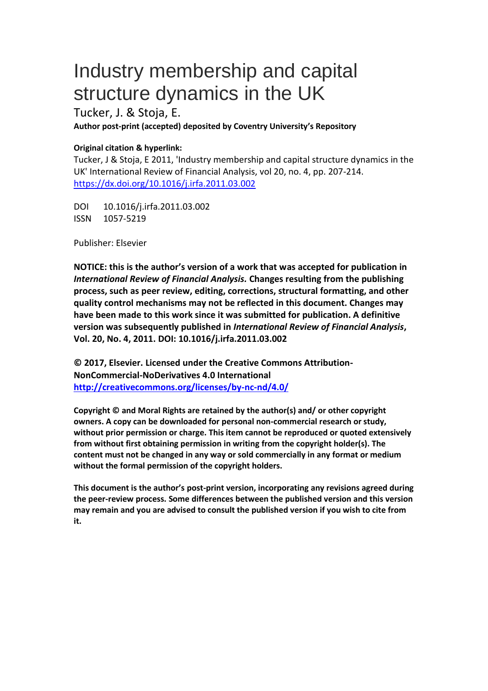# Industry membership and capital structure dynamics in the UK

Tucker, J. & Stoja, E. **Author post-print (accepted) deposited by Coventry University's Repository**

# **Original citation & hyperlink:**

Tucker, J & Stoja, E 2011, 'Industry membership and capital structure dynamics in the UK' International Review of Financial Analysis, vol 20, no. 4, pp. 207-214. https://dx.doi.org/10.1016/j.irfa.2011.03.002

DOI 10.1016/j.irfa.2011.03.002 ISSN 1057-5219

Publisher: Elsevier

**NOTICE: this is the author's version of a work that was accepted for publication in**  *International Review of Financial Analysis.* **Changes resulting from the publishing process, such as peer review, editing, corrections, structural formatting, and other quality control mechanisms may not be reflected in this document. Changes may have been made to this work since it was submitted for publication. A definitive version was subsequently published in** *International Review of Financial Analysis***, Vol. 20, No. 4, 2011. DOI: 10.1016/j.irfa.2011.03.002**

**© 2017, Elsevier. Licensed under the Creative Commons Attribution-NonCommercial-NoDerivatives 4.0 International <http://creativecommons.org/licenses/by-nc-nd/4.0/>**

**Copyright © and Moral Rights are retained by the author(s) and/ or other copyright owners. A copy can be downloaded for personal non-commercial research or study, without prior permission or charge. This item cannot be reproduced or quoted extensively from without first obtaining permission in writing from the copyright holder(s). The content must not be changed in any way or sold commercially in any format or medium without the formal permission of the copyright holders.** 

**This document is the author's post-print version, incorporating any revisions agreed during the peer-review process. Some differences between the published version and this version may remain and you are advised to consult the published version if you wish to cite from it.**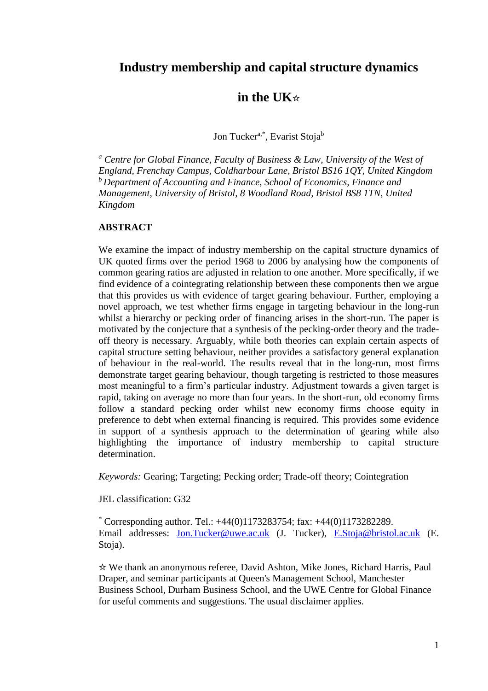# **Industry membership and capital structure dynamics**

# **in the UK**☆

Jon Tucker<sup>a,\*</sup>, Evarist Stoja<sup>b</sup>

*<sup>a</sup> Centre for Global Finance, Faculty of Business & Law, University of the West of England, Frenchay Campus, Coldharbour Lane, Bristol BS16 1QY, United Kingdom <sup>b</sup>Department of Accounting and Finance, School of Economics, Finance and Management, University of Bristol, 8 Woodland Road, Bristol BS8 1TN, United Kingdom*

## **ABSTRACT**

We examine the impact of industry membership on the capital structure dynamics of UK quoted firms over the period 1968 to 2006 by analysing how the components of common gearing ratios are adjusted in relation to one another. More specifically, if we find evidence of a cointegrating relationship between these components then we argue that this provides us with evidence of target gearing behaviour. Further, employing a novel approach, we test whether firms engage in targeting behaviour in the long-run whilst a hierarchy or pecking order of financing arises in the short-run. The paper is motivated by the conjecture that a synthesis of the pecking-order theory and the tradeoff theory is necessary. Arguably, while both theories can explain certain aspects of capital structure setting behaviour, neither provides a satisfactory general explanation of behaviour in the real-world. The results reveal that in the long-run, most firms demonstrate target gearing behaviour, though targeting is restricted to those measures most meaningful to a firm's particular industry. Adjustment towards a given target is rapid, taking on average no more than four years. In the short-run, old economy firms follow a standard pecking order whilst new economy firms choose equity in preference to debt when external financing is required. This provides some evidence in support of a synthesis approach to the determination of gearing while also highlighting the importance of industry membership to capital structure determination.

*Keywords:* Gearing; Targeting; Pecking order; Trade-off theory; Cointegration

JEL classification: G32

 $*$  Corresponding author. Tel.:  $+44(0)1173283754$ ; fax:  $+44(0)1173282289$ . Email addresses: [Jon.Tucker@uwe.ac.uk](mailto:Jon.Tucker@uwe.ac.uk) (J. Tucker), [E.Stoja@bristol.ac.uk](mailto:E.Stoja@bristol.ac.uk) (E. Stoja).

☆ We thank an anonymous referee, David Ashton, Mike Jones, Richard Harris, Paul Draper, and seminar participants at Queen's Management School, Manchester Business School, Durham Business School, and the UWE Centre for Global Finance for useful comments and suggestions. The usual disclaimer applies.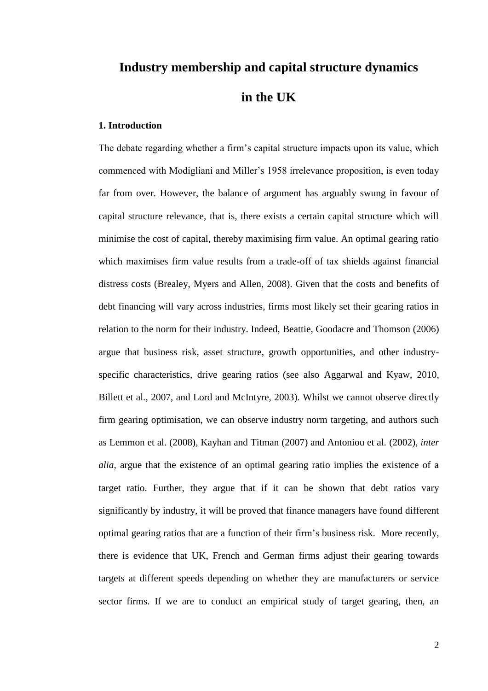# **Industry membership and capital structure dynamics in the UK**

# **1. Introduction**

The debate regarding whether a firm's capital structure impacts upon its value, which commenced with Modigliani and Miller's 1958 irrelevance proposition, is even today far from over. However, the balance of argument has arguably swung in favour of capital structure relevance, that is, there exists a certain capital structure which will minimise the cost of capital, thereby maximising firm value. An optimal gearing ratio which maximises firm value results from a trade-off of tax shields against financial distress costs (Brealey, Myers and Allen, 2008). Given that the costs and benefits of debt financing will vary across industries, firms most likely set their gearing ratios in relation to the norm for their industry. Indeed, Beattie, Goodacre and Thomson (2006) argue that business risk, asset structure, growth opportunities, and other industryspecific characteristics, drive gearing ratios (see also Aggarwal and Kyaw, 2010, Billett et al., 2007, and Lord and McIntyre, 2003). Whilst we cannot observe directly firm gearing optimisation, we can observe industry norm targeting, and authors such as Lemmon et al. (2008), Kayhan and Titman (2007) and Antoniou et al. (2002), *inter alia,* argue that the existence of an optimal gearing ratio implies the existence of a target ratio. Further, they argue that if it can be shown that debt ratios vary significantly by industry, it will be proved that finance managers have found different optimal gearing ratios that are a function of their firm's business risk. More recently, there is evidence that UK, French and German firms adjust their gearing towards targets at different speeds depending on whether they are manufacturers or service sector firms. If we are to conduct an empirical study of target gearing, then, an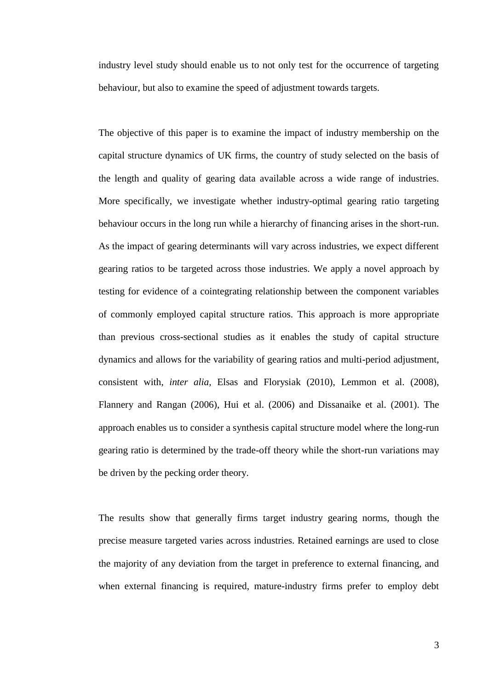industry level study should enable us to not only test for the occurrence of targeting behaviour, but also to examine the speed of adjustment towards targets.

The objective of this paper is to examine the impact of industry membership on the capital structure dynamics of UK firms, the country of study selected on the basis of the length and quality of gearing data available across a wide range of industries. More specifically, we investigate whether industry-optimal gearing ratio targeting behaviour occurs in the long run while a hierarchy of financing arises in the short-run. As the impact of gearing determinants will vary across industries, we expect different gearing ratios to be targeted across those industries. We apply a novel approach by testing for evidence of a cointegrating relationship between the component variables of commonly employed capital structure ratios. This approach is more appropriate than previous cross-sectional studies as it enables the study of capital structure dynamics and allows for the variability of gearing ratios and multi-period adjustment, consistent with, *inter alia,* Elsas and Florysiak (2010), Lemmon et al. (2008), Flannery and Rangan (2006), Hui et al. (2006) and Dissanaike et al. (2001). The approach enables us to consider a synthesis capital structure model where the long-run gearing ratio is determined by the trade-off theory while the short-run variations may be driven by the pecking order theory.

The results show that generally firms target industry gearing norms, though the precise measure targeted varies across industries. Retained earnings are used to close the majority of any deviation from the target in preference to external financing, and when external financing is required, mature-industry firms prefer to employ debt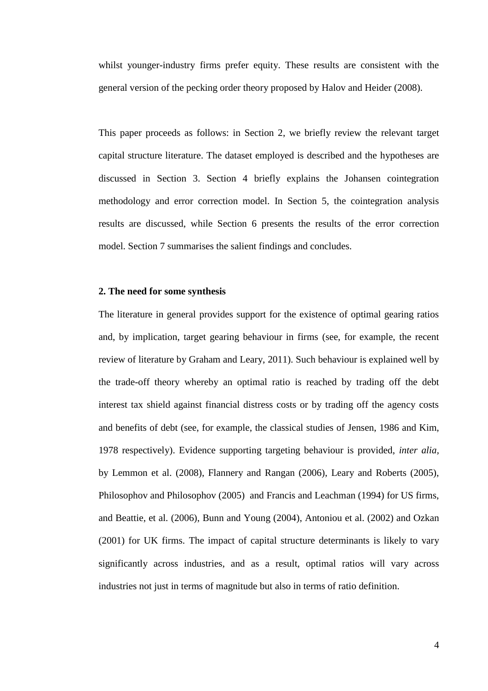whilst younger-industry firms prefer equity. These results are consistent with the general version of the pecking order theory proposed by Halov and Heider (2008).

This paper proceeds as follows: in Section 2, we briefly review the relevant target capital structure literature. The dataset employed is described and the hypotheses are discussed in Section 3. Section 4 briefly explains the Johansen cointegration methodology and error correction model. In Section 5, the cointegration analysis results are discussed, while Section 6 presents the results of the error correction model. Section 7 summarises the salient findings and concludes.

#### **2. The need for some synthesis**

The literature in general provides support for the existence of optimal gearing ratios and, by implication, target gearing behaviour in firms (see, for example, the recent review of literature by Graham and Leary, 2011). Such behaviour is explained well by the trade-off theory whereby an optimal ratio is reached by trading off the debt interest tax shield against financial distress costs or by trading off the agency costs and benefits of debt (see, for example, the classical studies of Jensen, 1986 and Kim, 1978 respectively). Evidence supporting targeting behaviour is provided, *inter alia,*  by Lemmon et al. (2008), Flannery and Rangan (2006), Leary and Roberts (2005), Philosophov and Philosophov (2005) and Francis and Leachman (1994) for US firms, and Beattie, et al. (2006), Bunn and Young (2004), Antoniou et al. (2002) and Ozkan (2001) for UK firms. The impact of capital structure determinants is likely to vary significantly across industries, and as a result, optimal ratios will vary across industries not just in terms of magnitude but also in terms of ratio definition.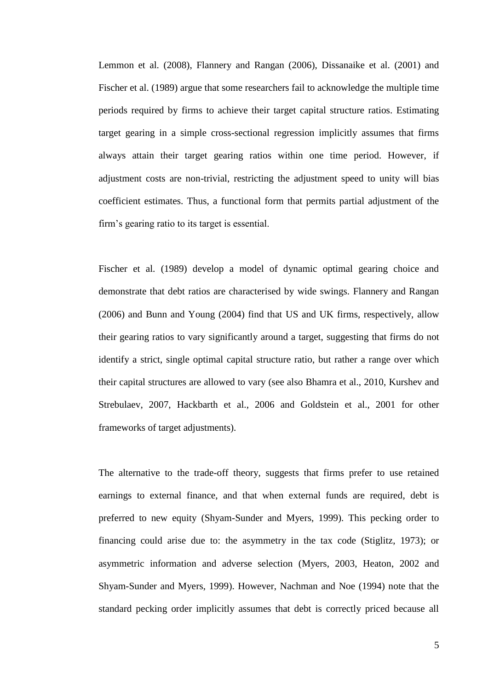Lemmon et al. (2008), Flannery and Rangan (2006), Dissanaike et al. (2001) and Fischer et al. (1989) argue that some researchers fail to acknowledge the multiple time periods required by firms to achieve their target capital structure ratios. Estimating target gearing in a simple cross-sectional regression implicitly assumes that firms always attain their target gearing ratios within one time period. However, if adjustment costs are non-trivial, restricting the adjustment speed to unity will bias coefficient estimates. Thus, a functional form that permits partial adjustment of the firm's gearing ratio to its target is essential.

Fischer et al. (1989) develop a model of dynamic optimal gearing choice and demonstrate that debt ratios are characterised by wide swings. Flannery and Rangan (2006) and Bunn and Young (2004) find that US and UK firms, respectively, allow their gearing ratios to vary significantly around a target, suggesting that firms do not identify a strict, single optimal capital structure ratio, but rather a range over which their capital structures are allowed to vary (see also Bhamra et al., 2010, Kurshev and Strebulaev, 2007, Hackbarth et al., 2006 and Goldstein et al., 2001 for other frameworks of target adjustments).

The alternative to the trade-off theory, suggests that firms prefer to use retained earnings to external finance, and that when external funds are required, debt is preferred to new equity (Shyam-Sunder and Myers, 1999). This pecking order to financing could arise due to: the asymmetry in the tax code (Stiglitz, 1973); or asymmetric information and adverse selection (Myers, 2003, Heaton, 2002 and Shyam-Sunder and Myers, 1999). However, Nachman and Noe (1994) note that the standard pecking order implicitly assumes that debt is correctly priced because all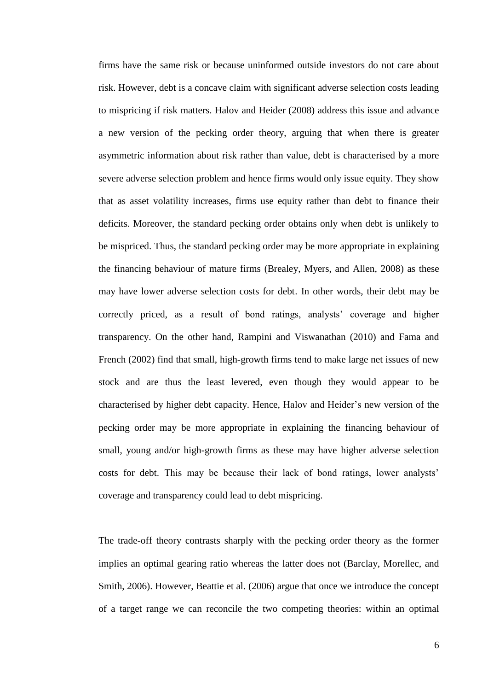firms have the same risk or because uninformed outside investors do not care about risk. However, debt is a concave claim with significant adverse selection costs leading to mispricing if risk matters. Halov and Heider (2008) address this issue and advance a new version of the pecking order theory, arguing that when there is greater asymmetric information about risk rather than value, debt is characterised by a more severe adverse selection problem and hence firms would only issue equity. They show that as asset volatility increases, firms use equity rather than debt to finance their deficits. Moreover, the standard pecking order obtains only when debt is unlikely to be mispriced. Thus, the standard pecking order may be more appropriate in explaining the financing behaviour of mature firms (Brealey, Myers, and Allen, 2008) as these may have lower adverse selection costs for debt. In other words, their debt may be correctly priced, as a result of bond ratings, analysts' coverage and higher transparency. On the other hand, Rampini and Viswanathan (2010) and Fama and French (2002) find that small, high-growth firms tend to make large net issues of new stock and are thus the least levered, even though they would appear to be characterised by higher debt capacity. Hence, Halov and Heider's new version of the pecking order may be more appropriate in explaining the financing behaviour of small, young and/or high-growth firms as these may have higher adverse selection costs for debt. This may be because their lack of bond ratings, lower analysts' coverage and transparency could lead to debt mispricing.

The trade-off theory contrasts sharply with the pecking order theory as the former implies an optimal gearing ratio whereas the latter does not (Barclay, Morellec, and Smith, 2006). However, Beattie et al. (2006) argue that once we introduce the concept of a target range we can reconcile the two competing theories: within an optimal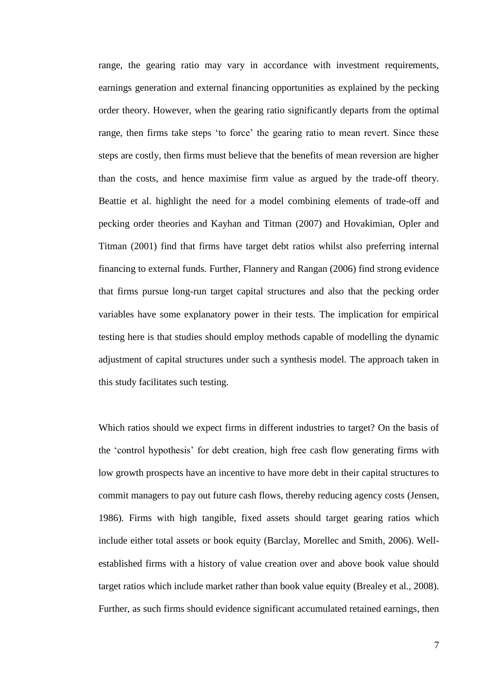range, the gearing ratio may vary in accordance with investment requirements, earnings generation and external financing opportunities as explained by the pecking order theory. However, when the gearing ratio significantly departs from the optimal range, then firms take steps 'to force' the gearing ratio to mean revert. Since these steps are costly, then firms must believe that the benefits of mean reversion are higher than the costs, and hence maximise firm value as argued by the trade-off theory. Beattie et al. highlight the need for a model combining elements of trade-off and pecking order theories and Kayhan and Titman (2007) and Hovakimian, Opler and Titman (2001) find that firms have target debt ratios whilst also preferring internal financing to external funds. Further, Flannery and Rangan (2006) find strong evidence that firms pursue long-run target capital structures and also that the pecking order variables have some explanatory power in their tests. The implication for empirical testing here is that studies should employ methods capable of modelling the dynamic adjustment of capital structures under such a synthesis model. The approach taken in this study facilitates such testing.

Which ratios should we expect firms in different industries to target? On the basis of the 'control hypothesis' for debt creation, high free cash flow generating firms with low growth prospects have an incentive to have more debt in their capital structures to commit managers to pay out future cash flows, thereby reducing agency costs (Jensen, 1986). Firms with high tangible, fixed assets should target gearing ratios which include either total assets or book equity (Barclay, Morellec and Smith, 2006). Wellestablished firms with a history of value creation over and above book value should target ratios which include market rather than book value equity (Brealey et al., 2008). Further, as such firms should evidence significant accumulated retained earnings, then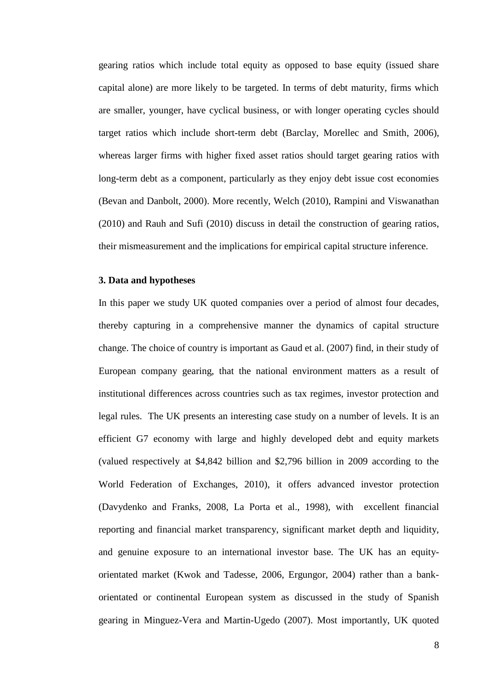gearing ratios which include total equity as opposed to base equity (issued share capital alone) are more likely to be targeted. In terms of debt maturity, firms which are smaller, younger, have cyclical business, or with longer operating cycles should target ratios which include short-term debt (Barclay, Morellec and Smith, 2006), whereas larger firms with higher fixed asset ratios should target gearing ratios with long-term debt as a component, particularly as they enjoy debt issue cost economies (Bevan and Danbolt, 2000). More recently, Welch (2010), Rampini and Viswanathan (2010) and Rauh and Sufi (2010) discuss in detail the construction of gearing ratios, their mismeasurement and the implications for empirical capital structure inference.

#### **3. Data and hypotheses**

In this paper we study UK quoted companies over a period of almost four decades, thereby capturing in a comprehensive manner the dynamics of capital structure change. The choice of country is important as Gaud et al. (2007) find, in their study of European company gearing, that the national environment matters as a result of institutional differences across countries such as tax regimes, investor protection and legal rules. The UK presents an interesting case study on a number of levels. It is an efficient G7 economy with large and highly developed debt and equity markets (valued respectively at \$4,842 billion and \$2,796 billion in 2009 according to the World Federation of Exchanges, 2010), it offers advanced investor protection (Davydenko and Franks, 2008, La Porta et al., 1998), with excellent financial reporting and financial market transparency, significant market depth and liquidity, and genuine exposure to an international investor base. The UK has an equityorientated market (Kwok and Tadesse, 2006, Ergungor, 2004) rather than a bankorientated or continental European system as discussed in the study of Spanish gearing in Minguez-Vera and Martin-Ugedo (2007). Most importantly, UK quoted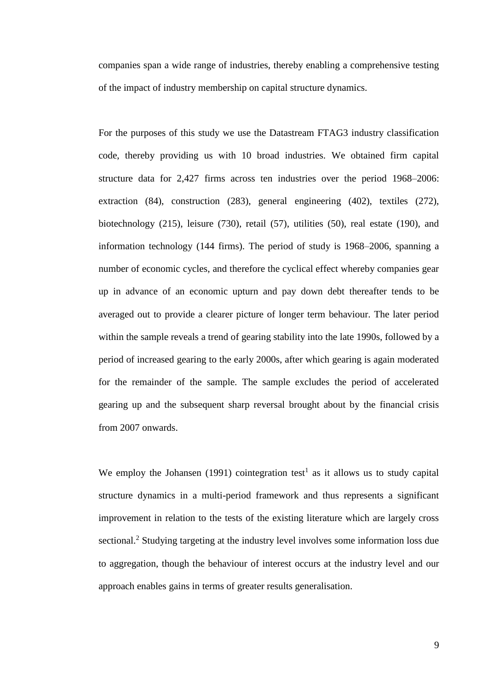companies span a wide range of industries, thereby enabling a comprehensive testing of the impact of industry membership on capital structure dynamics.

For the purposes of this study we use the Datastream FTAG3 industry classification code, thereby providing us with 10 broad industries. We obtained firm capital structure data for 2,427 firms across ten industries over the period 1968–2006: extraction (84), construction (283), general engineering (402), textiles (272), biotechnology (215), leisure (730), retail (57), utilities (50), real estate (190), and information technology (144 firms). The period of study is 1968–2006, spanning a number of economic cycles, and therefore the cyclical effect whereby companies gear up in advance of an economic upturn and pay down debt thereafter tends to be averaged out to provide a clearer picture of longer term behaviour. The later period within the sample reveals a trend of gearing stability into the late 1990s, followed by a period of increased gearing to the early 2000s, after which gearing is again moderated for the remainder of the sample. The sample excludes the period of accelerated gearing up and the subsequent sharp reversal brought about by the financial crisis from 2007 onwards.

We employ the Johansen (1991) cointegration test<sup>1</sup> as it allows us to study capital structure dynamics in a multi-period framework and thus represents a significant improvement in relation to the tests of the existing literature which are largely cross sectional.<sup>2</sup> Studying targeting at the industry level involves some information loss due to aggregation, though the behaviour of interest occurs at the industry level and our approach enables gains in terms of greater results generalisation.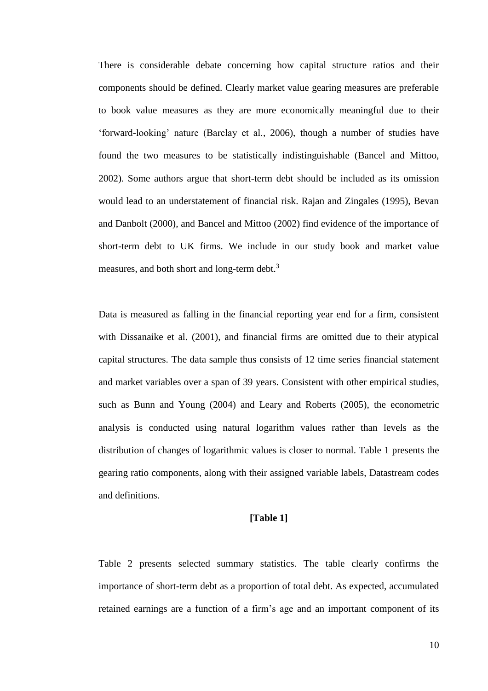There is considerable debate concerning how capital structure ratios and their components should be defined. Clearly market value gearing measures are preferable to book value measures as they are more economically meaningful due to their 'forward-looking' nature (Barclay et al., 2006), though a number of studies have found the two measures to be statistically indistinguishable (Bancel and Mittoo, 2002). Some authors argue that short-term debt should be included as its omission would lead to an understatement of financial risk. Rajan and Zingales (1995), Bevan and Danbolt (2000), and Bancel and Mittoo (2002) find evidence of the importance of short-term debt to UK firms. We include in our study book and market value measures, and both short and long-term debt.<sup>3</sup>

Data is measured as falling in the financial reporting year end for a firm, consistent with Dissanaike et al. (2001), and financial firms are omitted due to their atypical capital structures. The data sample thus consists of 12 time series financial statement and market variables over a span of 39 years. Consistent with other empirical studies, such as Bunn and Young (2004) and Leary and Roberts (2005), the econometric analysis is conducted using natural logarithm values rather than levels as the distribution of changes of logarithmic values is closer to normal. Table 1 presents the gearing ratio components, along with their assigned variable labels, Datastream codes and definitions.

#### **[Table 1]**

Table 2 presents selected summary statistics. The table clearly confirms the importance of short-term debt as a proportion of total debt. As expected, accumulated retained earnings are a function of a firm's age and an important component of its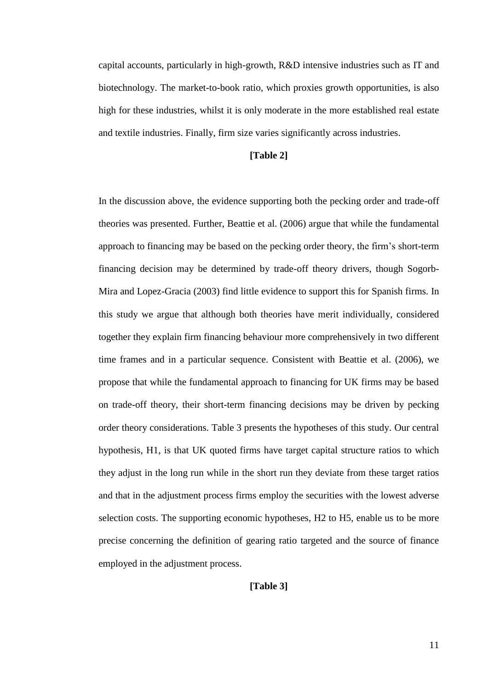capital accounts, particularly in high-growth, R&D intensive industries such as IT and biotechnology. The market-to-book ratio, which proxies growth opportunities, is also high for these industries, whilst it is only moderate in the more established real estate and textile industries. Finally, firm size varies significantly across industries.

#### **[Table 2]**

In the discussion above, the evidence supporting both the pecking order and trade-off theories was presented. Further, Beattie et al. (2006) argue that while the fundamental approach to financing may be based on the pecking order theory, the firm's short-term financing decision may be determined by trade-off theory drivers, though Sogorb-Mira and Lopez-Gracia (2003) find little evidence to support this for Spanish firms. In this study we argue that although both theories have merit individually, considered together they explain firm financing behaviour more comprehensively in two different time frames and in a particular sequence. Consistent with Beattie et al. (2006), we propose that while the fundamental approach to financing for UK firms may be based on trade-off theory, their short-term financing decisions may be driven by pecking order theory considerations. Table 3 presents the hypotheses of this study. Our central hypothesis, H1, is that UK quoted firms have target capital structure ratios to which they adjust in the long run while in the short run they deviate from these target ratios and that in the adjustment process firms employ the securities with the lowest adverse selection costs. The supporting economic hypotheses, H2 to H5, enable us to be more precise concerning the definition of gearing ratio targeted and the source of finance employed in the adjustment process.

#### **[Table 3]**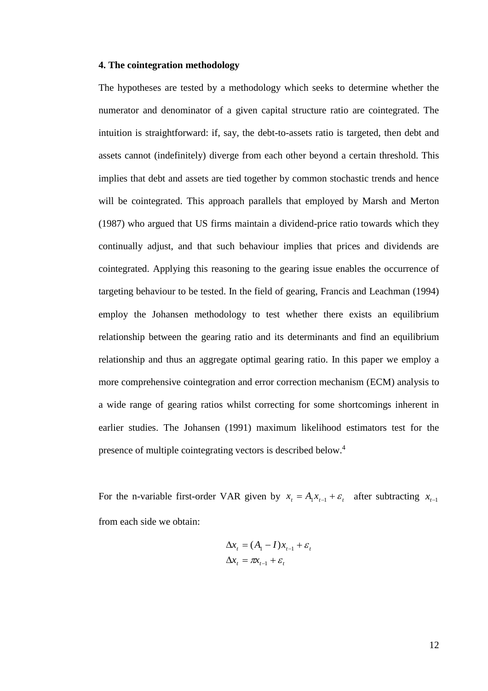#### **4. The cointegration methodology**

The hypotheses are tested by a methodology which seeks to determine whether the numerator and denominator of a given capital structure ratio are cointegrated. The intuition is straightforward: if, say, the debt-to-assets ratio is targeted, then debt and assets cannot (indefinitely) diverge from each other beyond a certain threshold. This implies that debt and assets are tied together by common stochastic trends and hence will be cointegrated. This approach parallels that employed by Marsh and Merton (1987) who argued that US firms maintain a dividend-price ratio towards which they continually adjust, and that such behaviour implies that prices and dividends are cointegrated. Applying this reasoning to the gearing issue enables the occurrence of targeting behaviour to be tested. In the field of gearing, Francis and Leachman (1994) employ the Johansen methodology to test whether there exists an equilibrium relationship between the gearing ratio and its determinants and find an equilibrium relationship and thus an aggregate optimal gearing ratio. In this paper we employ a more comprehensive cointegration and error correction mechanism (ECM) analysis to a wide range of gearing ratios whilst correcting for some shortcomings inherent in earlier studies. The Johansen (1991) maximum likelihood estimators test for the presence of multiple cointegrating vectors is described below.<sup>4</sup>

For the n-variable first-order VAR given by  $x_t = A_1 x_{t-1} + \varepsilon_t$  after subtracting  $x_{t-1}$ from each side we obtain:

$$
\Delta x_t = (A_1 - I)x_{t-1} + \varepsilon_t
$$
  

$$
\Delta x_t = \pi x_{t-1} + \varepsilon_t
$$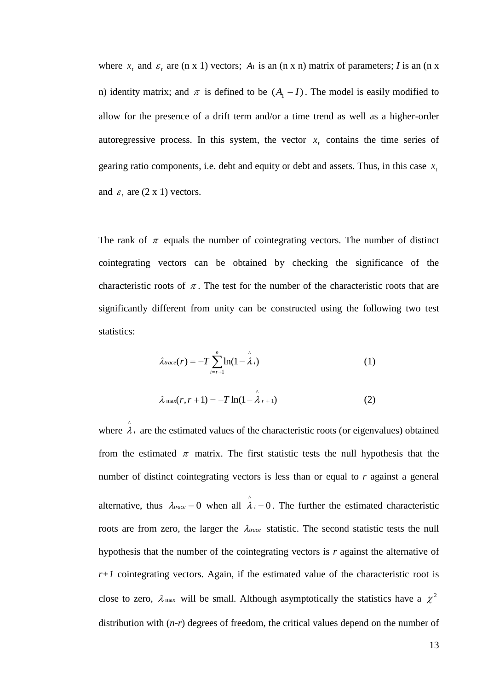where  $x_t$  and  $\varepsilon_t$  are (n x 1) vectors;  $A_1$  is an (n x n) matrix of parameters; *I* is an (n x n) identity matrix; and  $\pi$  is defined to be  $(A_1 - I)$ . The model is easily modified to allow for the presence of a drift term and/or a time trend as well as a higher-order autoregressive process. In this system, the vector  $x<sub>t</sub>$  contains the time series of gearing ratio components, i.e. debt and equity or debt and assets. Thus, in this case  $x_i$ and  $\varepsilon$ <sub>t</sub> are  $(2 \times 1)$  vectors.

The rank of  $\pi$  equals the number of cointegrating vectors. The number of distinct cointegrating vectors can be obtained by checking the significance of the characteristic roots of  $\pi$ . The test for the number of the characteristic roots that are significantly different from unity can be constructed using the following two test statistics:

$$
\lambda_{trace}(r) = -T \sum_{i=r+1}^{n} \ln(1 - \hat{\lambda}_i)
$$
 (1)

$$
\lambda_{\max}(r, r+1) = -T \ln(1 - \hat{\lambda}_{r+1})
$$
 (2)

where  $\lambda_i$  $\hat{\lambda}$  are the estimated values of the characteristic roots (or eigenvalues) obtained from the estimated  $\pi$  matrix. The first statistic tests the null hypothesis that the number of distinct cointegrating vectors is less than or equal to *r* against a general alternative, thus  $\lambda_{\text{trace}} = 0$  when all  $\hat{\lambda}_i = 0$ . The further the estimated characteristic roots are from zero, the larger the  $\lambda_{\text{trace}}$  statistic. The second statistic tests the null hypothesis that the number of the cointegrating vectors is *r* against the alternative of *r+1* cointegrating vectors. Again, if the estimated value of the characteristic root is close to zero,  $\lambda$  max will be small. Although asymptotically the statistics have a  $\chi^2$ distribution with (*n-r*) degrees of freedom, the critical values depend on the number of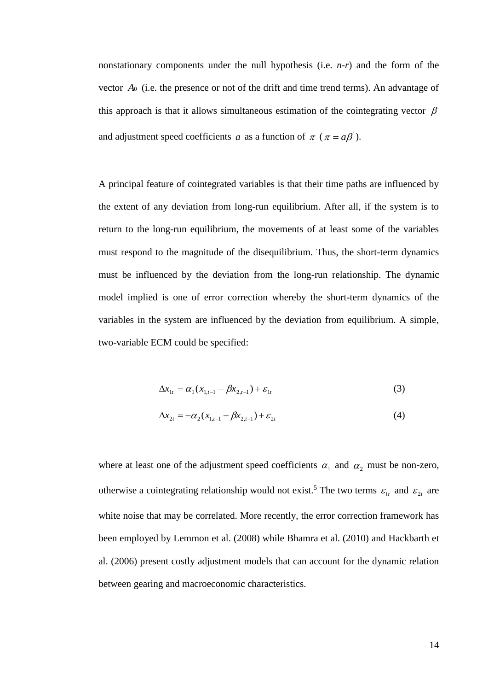nonstationary components under the null hypothesis (i.e. *n-r*) and the form of the vector *A*<sup>0</sup> (i.e. the presence or not of the drift and time trend terms). An advantage of this approach is that it allows simultaneous estimation of the cointegrating vector  $\beta$ and adjustment speed coefficients a as a function of  $\pi$  ( $\pi = a\beta$ ).

A principal feature of cointegrated variables is that their time paths are influenced by the extent of any deviation from long-run equilibrium. After all, if the system is to return to the long-run equilibrium, the movements of at least some of the variables must respond to the magnitude of the disequilibrium. Thus, the short-term dynamics must be influenced by the deviation from the long-run relationship. The dynamic model implied is one of error correction whereby the short-term dynamics of the variables in the system are influenced by the deviation from equilibrium. A simple, two-variable ECM could be specified:

$$
\Delta x_{1t} = \alpha_1 (x_{1,t-1} - \beta x_{2,t-1}) + \varepsilon_{1t}
$$
 (3)

$$
\Delta x_{2t} = -\alpha_2 (x_{1,t-1} - \beta x_{2,t-1}) + \varepsilon_{2t}
$$
\n(4)

where at least one of the adjustment speed coefficients  $\alpha_1$  and  $\alpha_2$  must be non-zero, otherwise a cointegrating relationship would not exist.<sup>5</sup> The two terms  $\varepsilon_{1t}$  and  $\varepsilon_{2t}$  are white noise that may be correlated. More recently, the error correction framework has been employed by Lemmon et al. (2008) while Bhamra et al. (2010) and Hackbarth et al. (2006) present costly adjustment models that can account for the dynamic relation between gearing and macroeconomic characteristics.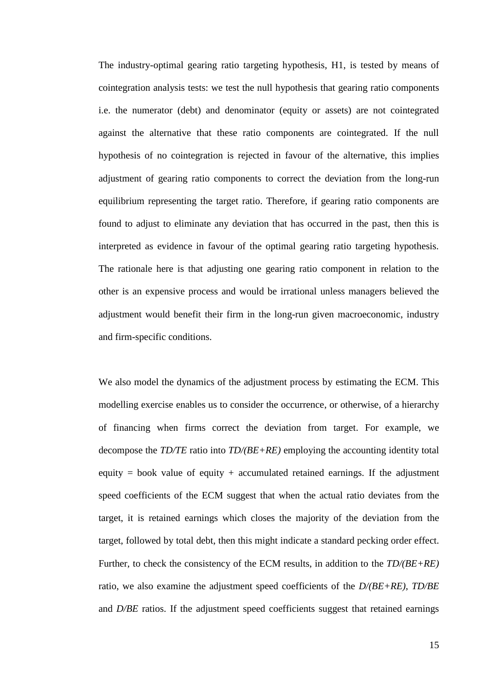The industry-optimal gearing ratio targeting hypothesis, H1, is tested by means of cointegration analysis tests: we test the null hypothesis that gearing ratio components i.e. the numerator (debt) and denominator (equity or assets) are not cointegrated against the alternative that these ratio components are cointegrated. If the null hypothesis of no cointegration is rejected in favour of the alternative, this implies adjustment of gearing ratio components to correct the deviation from the long-run equilibrium representing the target ratio. Therefore, if gearing ratio components are found to adjust to eliminate any deviation that has occurred in the past, then this is interpreted as evidence in favour of the optimal gearing ratio targeting hypothesis. The rationale here is that adjusting one gearing ratio component in relation to the other is an expensive process and would be irrational unless managers believed the adjustment would benefit their firm in the long-run given macroeconomic, industry and firm-specific conditions.

We also model the dynamics of the adjustment process by estimating the ECM. This modelling exercise enables us to consider the occurrence, or otherwise, of a hierarchy of financing when firms correct the deviation from target. For example, we decompose the *TD/TE* ratio into *TD/(BE+RE)* employing the accounting identity total equity = book value of equity + accumulated retained earnings. If the adjustment speed coefficients of the ECM suggest that when the actual ratio deviates from the target, it is retained earnings which closes the majority of the deviation from the target, followed by total debt, then this might indicate a standard pecking order effect. Further, to check the consistency of the ECM results, in addition to the *TD/(BE+RE)* ratio, we also examine the adjustment speed coefficients of the *D/(BE+RE)*, *TD/BE*  and *D/BE* ratios. If the adjustment speed coefficients suggest that retained earnings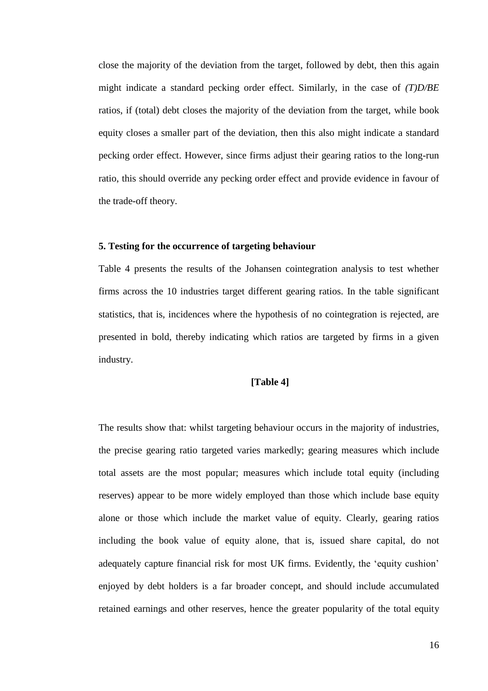close the majority of the deviation from the target, followed by debt, then this again might indicate a standard pecking order effect. Similarly, in the case of *(T)D/BE* ratios, if (total) debt closes the majority of the deviation from the target, while book equity closes a smaller part of the deviation, then this also might indicate a standard pecking order effect. However, since firms adjust their gearing ratios to the long-run ratio, this should override any pecking order effect and provide evidence in favour of the trade-off theory.

### **5. Testing for the occurrence of targeting behaviour**

Table 4 presents the results of the Johansen cointegration analysis to test whether firms across the 10 industries target different gearing ratios. In the table significant statistics, that is, incidences where the hypothesis of no cointegration is rejected, are presented in bold, thereby indicating which ratios are targeted by firms in a given industry.

#### **[Table 4]**

The results show that: whilst targeting behaviour occurs in the majority of industries, the precise gearing ratio targeted varies markedly; gearing measures which include total assets are the most popular; measures which include total equity (including reserves) appear to be more widely employed than those which include base equity alone or those which include the market value of equity. Clearly, gearing ratios including the book value of equity alone, that is, issued share capital, do not adequately capture financial risk for most UK firms. Evidently, the 'equity cushion' enjoyed by debt holders is a far broader concept, and should include accumulated retained earnings and other reserves, hence the greater popularity of the total equity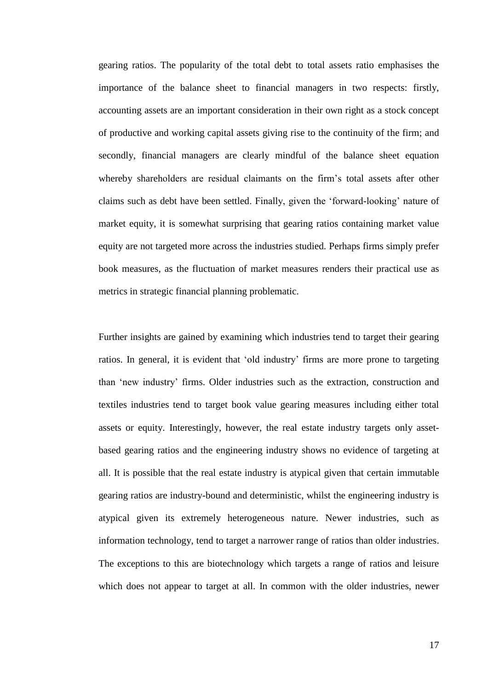gearing ratios. The popularity of the total debt to total assets ratio emphasises the importance of the balance sheet to financial managers in two respects: firstly, accounting assets are an important consideration in their own right as a stock concept of productive and working capital assets giving rise to the continuity of the firm; and secondly, financial managers are clearly mindful of the balance sheet equation whereby shareholders are residual claimants on the firm's total assets after other claims such as debt have been settled. Finally, given the 'forward-looking' nature of market equity, it is somewhat surprising that gearing ratios containing market value equity are not targeted more across the industries studied. Perhaps firms simply prefer book measures, as the fluctuation of market measures renders their practical use as metrics in strategic financial planning problematic.

Further insights are gained by examining which industries tend to target their gearing ratios. In general, it is evident that 'old industry' firms are more prone to targeting than 'new industry' firms. Older industries such as the extraction, construction and textiles industries tend to target book value gearing measures including either total assets or equity. Interestingly, however, the real estate industry targets only assetbased gearing ratios and the engineering industry shows no evidence of targeting at all. It is possible that the real estate industry is atypical given that certain immutable gearing ratios are industry-bound and deterministic, whilst the engineering industry is atypical given its extremely heterogeneous nature. Newer industries, such as information technology, tend to target a narrower range of ratios than older industries. The exceptions to this are biotechnology which targets a range of ratios and leisure which does not appear to target at all. In common with the older industries, newer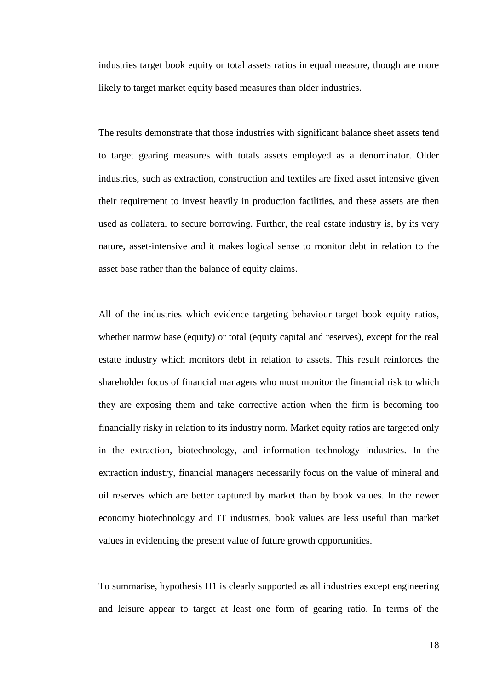industries target book equity or total assets ratios in equal measure, though are more likely to target market equity based measures than older industries.

The results demonstrate that those industries with significant balance sheet assets tend to target gearing measures with totals assets employed as a denominator. Older industries, such as extraction, construction and textiles are fixed asset intensive given their requirement to invest heavily in production facilities, and these assets are then used as collateral to secure borrowing. Further, the real estate industry is, by its very nature, asset-intensive and it makes logical sense to monitor debt in relation to the asset base rather than the balance of equity claims.

All of the industries which evidence targeting behaviour target book equity ratios, whether narrow base (equity) or total (equity capital and reserves), except for the real estate industry which monitors debt in relation to assets. This result reinforces the shareholder focus of financial managers who must monitor the financial risk to which they are exposing them and take corrective action when the firm is becoming too financially risky in relation to its industry norm. Market equity ratios are targeted only in the extraction, biotechnology, and information technology industries. In the extraction industry, financial managers necessarily focus on the value of mineral and oil reserves which are better captured by market than by book values. In the newer economy biotechnology and IT industries, book values are less useful than market values in evidencing the present value of future growth opportunities.

To summarise, hypothesis H1 is clearly supported as all industries except engineering and leisure appear to target at least one form of gearing ratio. In terms of the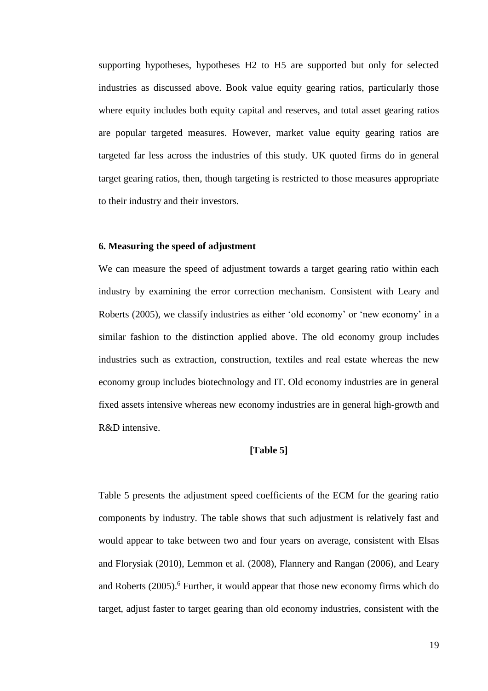supporting hypotheses, hypotheses H2 to H5 are supported but only for selected industries as discussed above. Book value equity gearing ratios, particularly those where equity includes both equity capital and reserves, and total asset gearing ratios are popular targeted measures. However, market value equity gearing ratios are targeted far less across the industries of this study. UK quoted firms do in general target gearing ratios, then, though targeting is restricted to those measures appropriate to their industry and their investors.

## **6. Measuring the speed of adjustment**

We can measure the speed of adjustment towards a target gearing ratio within each industry by examining the error correction mechanism. Consistent with Leary and Roberts (2005), we classify industries as either 'old economy' or 'new economy' in a similar fashion to the distinction applied above. The old economy group includes industries such as extraction, construction, textiles and real estate whereas the new economy group includes biotechnology and IT. Old economy industries are in general fixed assets intensive whereas new economy industries are in general high-growth and R&D intensive.

#### **[Table 5]**

Table 5 presents the adjustment speed coefficients of the ECM for the gearing ratio components by industry. The table shows that such adjustment is relatively fast and would appear to take between two and four years on average, consistent with Elsas and Florysiak (2010), Lemmon et al. (2008), Flannery and Rangan (2006), and Leary and Roberts (2005). <sup>6</sup> Further, it would appear that those new economy firms which do target, adjust faster to target gearing than old economy industries, consistent with the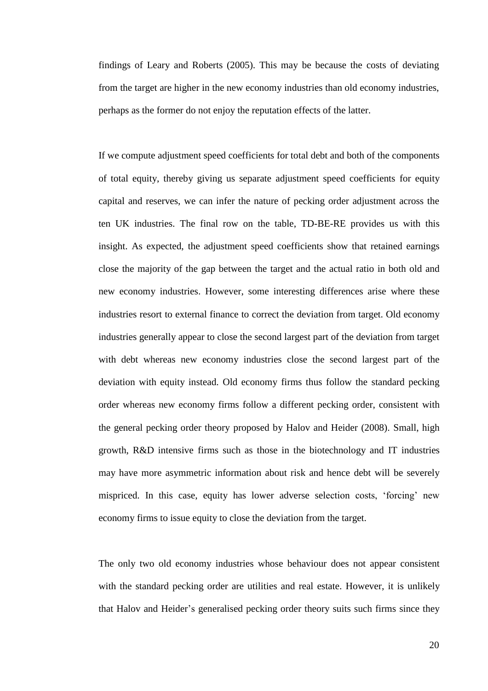findings of Leary and Roberts (2005). This may be because the costs of deviating from the target are higher in the new economy industries than old economy industries, perhaps as the former do not enjoy the reputation effects of the latter.

If we compute adjustment speed coefficients for total debt and both of the components of total equity, thereby giving us separate adjustment speed coefficients for equity capital and reserves, we can infer the nature of pecking order adjustment across the ten UK industries. The final row on the table, TD-BE-RE provides us with this insight. As expected, the adjustment speed coefficients show that retained earnings close the majority of the gap between the target and the actual ratio in both old and new economy industries. However, some interesting differences arise where these industries resort to external finance to correct the deviation from target. Old economy industries generally appear to close the second largest part of the deviation from target with debt whereas new economy industries close the second largest part of the deviation with equity instead. Old economy firms thus follow the standard pecking order whereas new economy firms follow a different pecking order, consistent with the general pecking order theory proposed by Halov and Heider (2008). Small, high growth, R&D intensive firms such as those in the biotechnology and IT industries may have more asymmetric information about risk and hence debt will be severely mispriced. In this case, equity has lower adverse selection costs, 'forcing' new economy firms to issue equity to close the deviation from the target.

The only two old economy industries whose behaviour does not appear consistent with the standard pecking order are utilities and real estate. However, it is unlikely that Halov and Heider's generalised pecking order theory suits such firms since they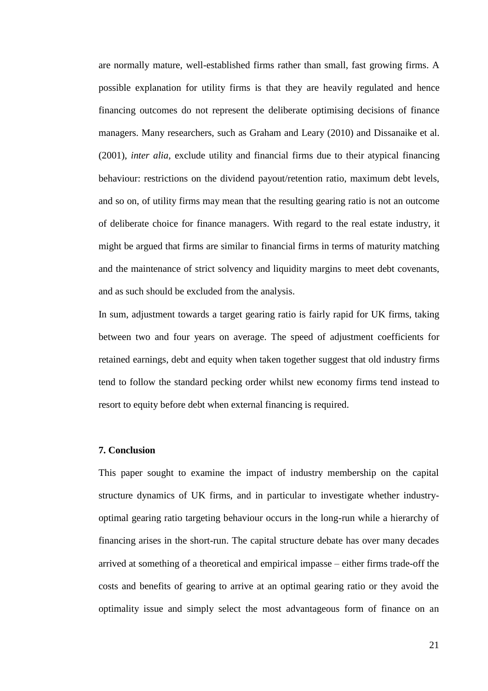are normally mature, well-established firms rather than small, fast growing firms. A possible explanation for utility firms is that they are heavily regulated and hence financing outcomes do not represent the deliberate optimising decisions of finance managers. Many researchers, such as Graham and Leary (2010) and Dissanaike et al. (2001), *inter alia,* exclude utility and financial firms due to their atypical financing behaviour: restrictions on the dividend payout/retention ratio, maximum debt levels, and so on, of utility firms may mean that the resulting gearing ratio is not an outcome of deliberate choice for finance managers. With regard to the real estate industry, it might be argued that firms are similar to financial firms in terms of maturity matching and the maintenance of strict solvency and liquidity margins to meet debt covenants, and as such should be excluded from the analysis.

In sum, adjustment towards a target gearing ratio is fairly rapid for UK firms, taking between two and four years on average. The speed of adjustment coefficients for retained earnings, debt and equity when taken together suggest that old industry firms tend to follow the standard pecking order whilst new economy firms tend instead to resort to equity before debt when external financing is required.

#### **7. Conclusion**

This paper sought to examine the impact of industry membership on the capital structure dynamics of UK firms, and in particular to investigate whether industryoptimal gearing ratio targeting behaviour occurs in the long-run while a hierarchy of financing arises in the short-run. The capital structure debate has over many decades arrived at something of a theoretical and empirical impasse – either firms trade-off the costs and benefits of gearing to arrive at an optimal gearing ratio or they avoid the optimality issue and simply select the most advantageous form of finance on an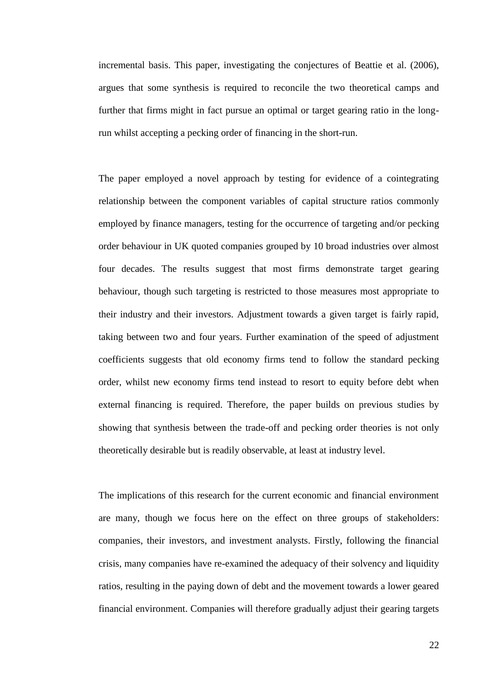incremental basis. This paper, investigating the conjectures of Beattie et al. (2006), argues that some synthesis is required to reconcile the two theoretical camps and further that firms might in fact pursue an optimal or target gearing ratio in the longrun whilst accepting a pecking order of financing in the short-run.

The paper employed a novel approach by testing for evidence of a cointegrating relationship between the component variables of capital structure ratios commonly employed by finance managers, testing for the occurrence of targeting and/or pecking order behaviour in UK quoted companies grouped by 10 broad industries over almost four decades. The results suggest that most firms demonstrate target gearing behaviour, though such targeting is restricted to those measures most appropriate to their industry and their investors. Adjustment towards a given target is fairly rapid, taking between two and four years. Further examination of the speed of adjustment coefficients suggests that old economy firms tend to follow the standard pecking order, whilst new economy firms tend instead to resort to equity before debt when external financing is required. Therefore, the paper builds on previous studies by showing that synthesis between the trade-off and pecking order theories is not only theoretically desirable but is readily observable, at least at industry level.

The implications of this research for the current economic and financial environment are many, though we focus here on the effect on three groups of stakeholders: companies, their investors, and investment analysts. Firstly, following the financial crisis, many companies have re-examined the adequacy of their solvency and liquidity ratios, resulting in the paying down of debt and the movement towards a lower geared financial environment. Companies will therefore gradually adjust their gearing targets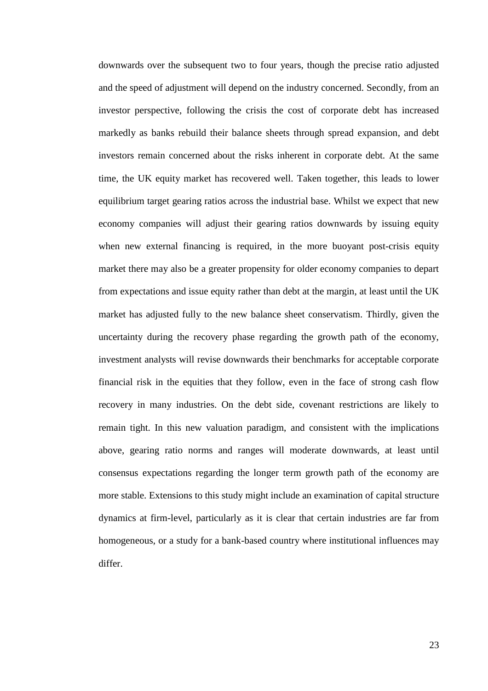downwards over the subsequent two to four years, though the precise ratio adjusted and the speed of adjustment will depend on the industry concerned. Secondly, from an investor perspective, following the crisis the cost of corporate debt has increased markedly as banks rebuild their balance sheets through spread expansion, and debt investors remain concerned about the risks inherent in corporate debt. At the same time, the UK equity market has recovered well. Taken together, this leads to lower equilibrium target gearing ratios across the industrial base. Whilst we expect that new economy companies will adjust their gearing ratios downwards by issuing equity when new external financing is required, in the more buoyant post-crisis equity market there may also be a greater propensity for older economy companies to depart from expectations and issue equity rather than debt at the margin, at least until the UK market has adjusted fully to the new balance sheet conservatism. Thirdly, given the uncertainty during the recovery phase regarding the growth path of the economy, investment analysts will revise downwards their benchmarks for acceptable corporate financial risk in the equities that they follow, even in the face of strong cash flow recovery in many industries. On the debt side, covenant restrictions are likely to remain tight. In this new valuation paradigm, and consistent with the implications above, gearing ratio norms and ranges will moderate downwards, at least until consensus expectations regarding the longer term growth path of the economy are more stable. Extensions to this study might include an examination of capital structure dynamics at firm-level, particularly as it is clear that certain industries are far from homogeneous, or a study for a bank-based country where institutional influences may differ.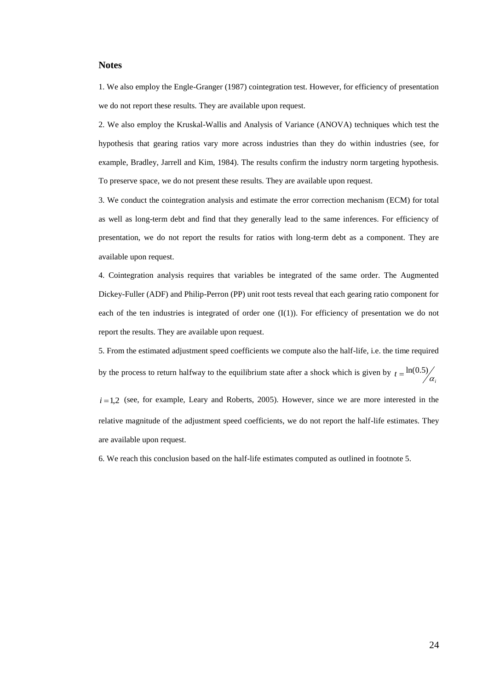#### **Notes**

1. We also employ the Engle-Granger (1987) cointegration test. However, for efficiency of presentation we do not report these results. They are available upon request.

2. We also employ the Kruskal-Wallis and Analysis of Variance (ANOVA) techniques which test the hypothesis that gearing ratios vary more across industries than they do within industries (see, for example, Bradley, Jarrell and Kim, 1984). The results confirm the industry norm targeting hypothesis. To preserve space, we do not present these results. They are available upon request.

3. We conduct the cointegration analysis and estimate the error correction mechanism (ECM) for total as well as long-term debt and find that they generally lead to the same inferences. For efficiency of presentation, we do not report the results for ratios with long-term debt as a component. They are available upon request.

4. Cointegration analysis requires that variables be integrated of the same order. The Augmented Dickey-Fuller (ADF) and Philip-Perron (PP) unit root tests reveal that each gearing ratio component for each of the ten industries is integrated of order one  $(I(1))$ . For efficiency of presentation we do not report the results. They are available upon request.

5. From the estimated adjustment speed coefficients we compute also the half-life, i.e. the time required by the process to return halfway to the equilibrium state after a shock which is given by  $t = \frac{\ln(0.5)}{a_i}$ 

 $i = 1,2$  (see, for example, Leary and Roberts, 2005). However, since we are more interested in the relative magnitude of the adjustment speed coefficients, we do not report the half-life estimates. They are available upon request.

6. We reach this conclusion based on the half-life estimates computed as outlined in footnote 5.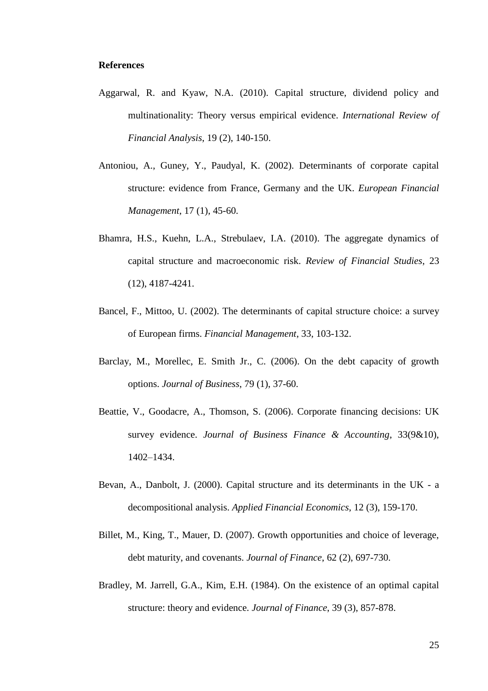#### **References**

- Aggarwal, R. and Kyaw, N.A. (2010). Capital structure, dividend policy and multinationality: Theory versus empirical evidence. *International Review of Financial Analysis*, 19 (2), 140-150.
- Antoniou, A., Guney, Y., Paudyal, K. (2002). Determinants of corporate capital structure: evidence from France, Germany and the UK. *European Financial Management*, 17 (1), 45-60.
- Bhamra, H.S., Kuehn, L.A., Strebulaev, I.A. (2010). The aggregate dynamics of capital structure and macroeconomic risk. *Review of Financial Studies*, 23 (12), 4187-4241.
- Bancel, F., Mittoo, U. (2002). The determinants of capital structure choice: a survey of European firms. *Financial Management*, 33, 103-132.
- Barclay, M., Morellec, E. Smith Jr., C. (2006). On the debt capacity of growth options. *Journal of Business*, 79 (1), 37-60.
- Beattie, V., Goodacre, A., Thomson, S. (2006). Corporate financing decisions: UK survey evidence. *Journal of Business Finance & Accounting*, 33(9&10), 1402–1434.
- Bevan, A., Danbolt, J. (2000). Capital structure and its determinants in the UK a decompositional analysis. *Applied Financial Economics*, 12 (3), 159-170.
- Billet, M., King, T., Mauer, D. (2007). Growth opportunities and choice of leverage, debt maturity, and covenants. *Journal of Finance*, 62 (2), 697-730.
- Bradley, M. Jarrell, G.A., Kim, E.H. (1984). On the existence of an optimal capital structure: theory and evidence. *Journal of Finance*, 39 (3), 857-878.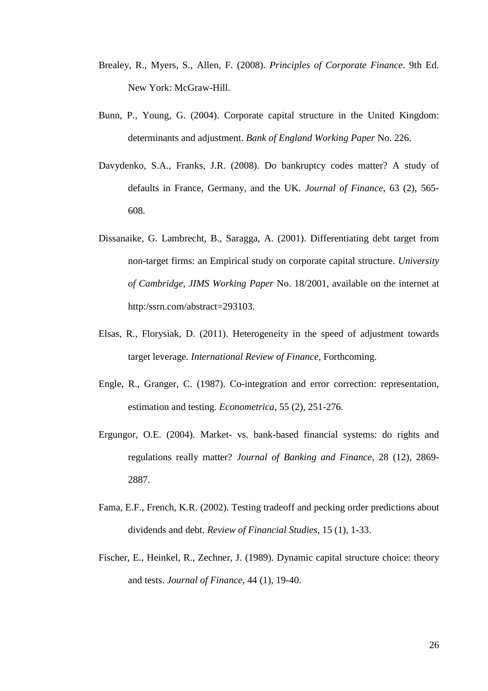- Brealey, R., Myers, S., Allen, F. (2008). *Principles of Corporate Finance*. 9th Ed. New York: McGraw-Hill.
- Bunn, P., Young, G. (2004). Corporate capital structure in the United Kingdom: determinants and adjustment. *Bank of England Working Paper* No. 226.
- Davydenko, S.A., Franks, J.R. (2008). Do bankruptcy codes matter? A study of defaults in France, Germany, and the UK. *Journal of Finance*, 63 (2), 565- 608.
- Dissanaike, G. Lambrecht, B., Saragga, A. (2001). Differentiating debt target from non-target firms: an Empirical study on corporate capital structure. *University of Cambridge, JIMS Working Paper* No. 18/2001, available on the internet at http:/ssrn.com/abstract=293103.
- Elsas, R., Florysiak, D. (2011). Heterogeneity in the speed of adjustment towards target leverage. *International Review of Finance*, Forthcoming.
- Engle, R., Granger, C. (1987). Co-integration and error correction: representation, estimation and testing. *Econometrica*, 55 (2), 251-276.
- Ergungor, O.E. (2004). Market- vs. bank-based financial systems: do rights and regulations really matter? *Journal of Banking and Finance*, 28 (12), 2869- 2887.
- Fama, E.F., French, K.R. (2002). Testing tradeoff and pecking order predictions about dividends and debt. *Review of Financial Studies*, 15 (1), 1-33.
- Fischer, E., Heinkel, R., Zechner, J. (1989). Dynamic capital structure choice: theory and tests. *Journal of Finance*, 44 (1), 19-40.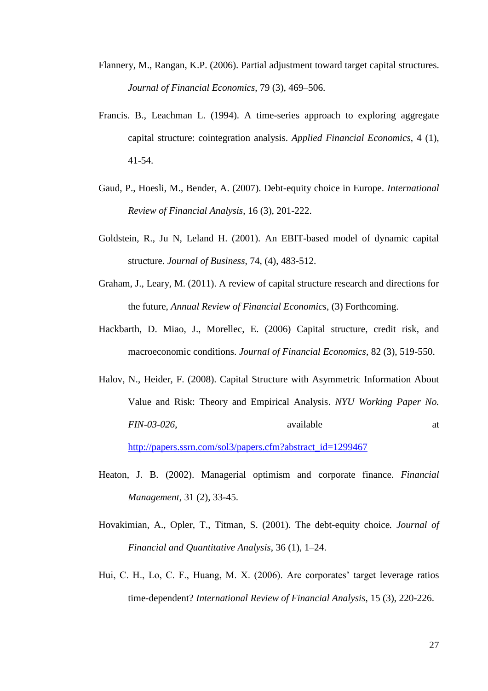- Flannery, M., Rangan, K.P. (2006). Partial adjustment toward target capital structures. *Journal of Financial Economics*, 79 (3), 469–506.
- Francis. B., Leachman L. (1994). A time-series approach to exploring aggregate capital structure: cointegration analysis. *Applied Financial Economics*, 4 (1), 41-54.
- Gaud, P., Hoesli, M., Bender, A. (2007). Debt-equity choice in Europe. *International Review of Financial Analysis*, 16 (3), 201-222.
- Goldstein, R., Ju N, Leland H. (2001). An EBIT-based model of dynamic capital structure. *Journal of Business*, 74, (4), 483-512.
- Graham, J., Leary, M. (2011). A review of capital structure research and directions for the future, *Annual Review of Financial Economics*, (3) Forthcoming.
- Hackbarth, D. Miao, J., Morellec, E. (2006) Capital structure, credit risk, and macroeconomic conditions. *Journal of Financial Economics*, 82(3), 519-550.
- Halov, N., Heider, F. (2008). Capital Structure with Asymmetric Information About Value and Risk: Theory and Empirical Analysis. *[NYU Working Paper No.](http://papers.ssrn.com/sol3/papers.cfm?abstract_id=1299467##)  [FIN-03-026](http://papers.ssrn.com/sol3/papers.cfm?abstract_id=1299467##)*, available at a state at a state at a state and a state at a state and a state at a state and a state at a state and a state and a state and a state and a state and a state and a state and a state and a state [http://papers.ssrn.com/sol3/papers.cfm?abstract\\_id=1299467](http://papers.ssrn.com/sol3/papers.cfm?abstract_id=1299467)
- Heaton, J. B. (2002). Managerial optimism and corporate finance. *Financial Management*, 31 (2), 33-45.
- Hovakimian, A., Opler, T., Titman, S. (2001). The debt-equity choice*. Journal of Financial and Quantitative Analysis*, 36 (1), 1–24.
- Hui, C. H., Lo, C. F., Huang, M. X. (2006). Are corporates' target leverage ratios time-dependent? *International Review of Financial Analysis*, 15 (3), 220-226.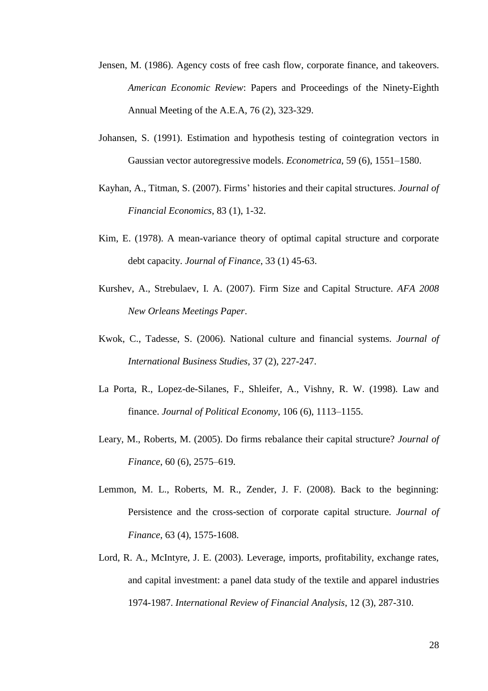- Jensen, M. (1986). Agency costs of free cash flow, corporate finance, and takeovers. *American Economic Review*: Papers and Proceedings of the Ninety-Eighth Annual Meeting of the A.E.A, 76 (2), 323-329.
- Johansen, S. (1991). Estimation and hypothesis testing of cointegration vectors in Gaussian vector autoregressive models. *Econometrica*, 59 (6), 1551–1580.
- Kayhan, A., Titman, S. (2007). Firms' histories and their capital structures. *Journal of Financial Economics*, 83 (1), 1-32.
- Kim, E. (1978). A mean-variance theory of optimal capital structure and corporate debt capacity. *Journal of Finance*, 33 (1) 45-63.
- Kurshev, A., Strebulaev, I. A. (2007). Firm Size and Capital Structure. *AFA 2008 New Orleans Meetings Paper*.
- Kwok, C., Tadesse, S. (2006). National culture and financial systems. *Journal of International Business Studies*, 37 (2), 227-247.
- La Porta, R., Lopez-de-Silanes, F., Shleifer, A., Vishny, R. W. (1998). Law and finance. *Journal of Political Economy*, 106 (6), 1113–1155.
- Leary, M., Roberts, M. (2005). Do firms rebalance their capital structure? *Journal of Finance*, 60 (6), 2575–619.
- Lemmon, M. L., Roberts, M. R., Zender, J. F. (2008). Back to the beginning: Persistence and the cross-section of corporate capital structure. *Journal of Finance*, 63 (4), 1575-1608.
- Lord, R. A., McIntyre, J. E. (2003). Leverage, imports, profitability, exchange rates, and capital investment: a panel data study of the textile and apparel industries 1974-1987. *International Review of Financial Analysis*, 12 (3), 287-310.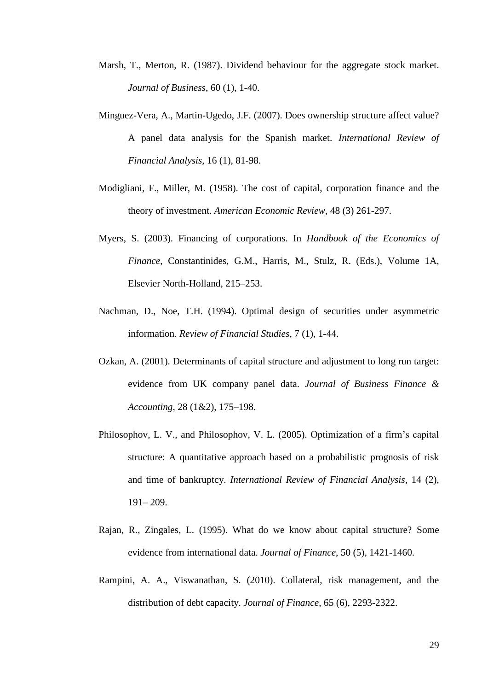- Marsh, T., Merton, R. (1987). Dividend behaviour for the aggregate stock market. *Journal of Business*, 60 (1), 1-40.
- Minguez-Vera, A., Martin-Ugedo, J.F. (2007). Does ownership structure affect value? A panel data analysis for the Spanish market. *International Review of Financial Analysis*, 16 (1), 81-98.
- Modigliani, F., Miller, M. (1958). The cost of capital, corporation finance and the theory of investment. *American Economic Review*, 48 (3) 261-297.
- Myers, S. (2003). Financing of corporations. In *Handbook of the Economics of Finance*, Constantinides, G.M., Harris, M., Stulz, R. (Eds.), Volume 1A, Elsevier North-Holland, 215–253.
- Nachman, D., Noe, T.H. (1994). Optimal design of securities under asymmetric information. *Review of Financial Studies*, 7 (1), 1-44.
- Ozkan, A. (2001). Determinants of capital structure and adjustment to long run target: evidence from UK company panel data. *Journal of Business Finance & Accounting*, 28 (1&2), 175–198.
- Philosophov, L. V., and Philosophov, V. L. (2005). Optimization of a firm's capital structure: A quantitative approach based on a probabilistic prognosis of risk and time of bankruptcy. *International Review of Financial Analysis*, 14 (2), 191– 209.
- Rajan, R., Zingales, L. (1995). What do we know about capital structure? Some evidence from international data. *Journal of Finance*, 50 (5), 1421-1460.
- Rampini, A. A., Viswanathan, S. (2010). Collateral, risk management, and the distribution of debt capacity. *Journal of Finance*, 65 (6), 2293-2322.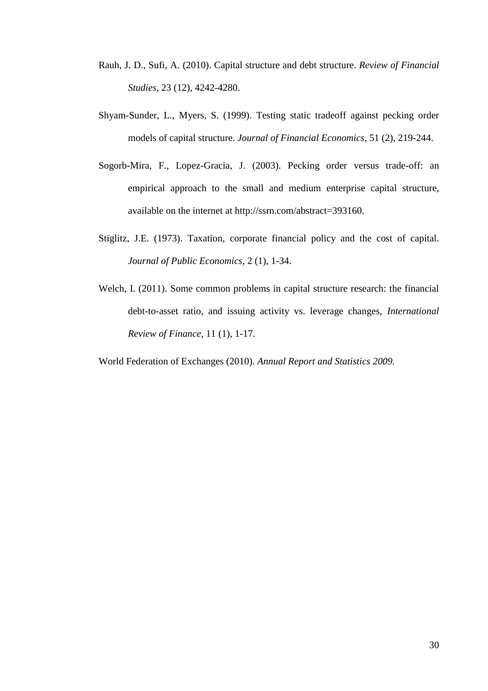- Rauh, J. D., Sufi, A. (2010). Capital structure and debt structure. *Review of Financial Studies*, 23 (12), 4242-4280.
- Shyam-Sunder, L., Myers, S. (1999). Testing static tradeoff against pecking order models of capital structure. *Journal of Financial Economics*, 51 (2), 219-244.
- Sogorb-Mira, F., Lopez-Gracia, J. (2003). Pecking order versus trade-off: an empirical approach to the small and medium enterprise capital structure, available on the internet at [http://ssrn.com/abstract=393160.](http://ssrn.com/abstract=393160)
- Stiglitz, J.E. (1973). Taxation, corporate financial policy and the cost of capital. *Journal of Public Economics*, 2 (1), 1-34.
- Welch, I. (2011). Some common problems in capital structure research: the financial debt-to-asset ratio, and issuing activity vs. leverage changes, *International Review of Finance*, 11 (1), 1-17.

World Federation of Exchanges (2010). *Annual Report and Statistics 2009.*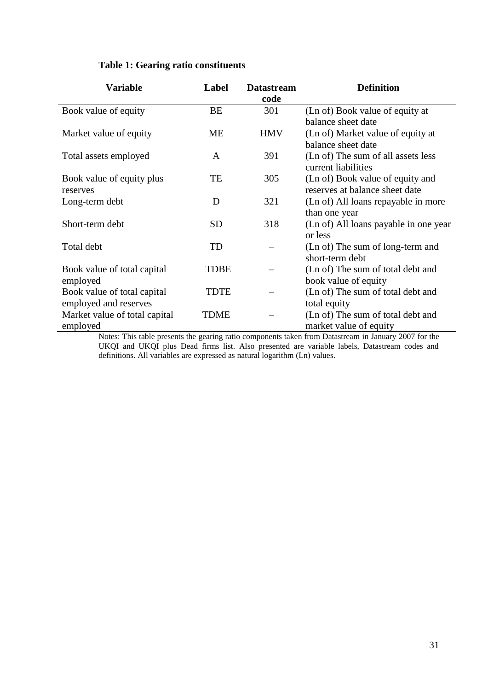| <b>Variable</b>                                      | Label     | <b>Datastream</b><br>code | <b>Definition</b>                                                  |
|------------------------------------------------------|-----------|---------------------------|--------------------------------------------------------------------|
| Book value of equity                                 | BE        | 301                       | (Ln of) Book value of equity at                                    |
|                                                      |           |                           | balance sheet date                                                 |
| Market value of equity                               | <b>ME</b> | <b>HMV</b>                | (Ln of) Market value of equity at<br>balance sheet date            |
| Total assets employed                                | A         | 391                       | (Ln of) The sum of all assets less<br>current liabilities          |
| Book value of equity plus<br>reserves                | TE        | 305                       | (Ln of) Book value of equity and<br>reserves at balance sheet date |
| Long-term debt                                       | D         | 321                       | (Ln of) All loans repayable in more                                |
|                                                      |           |                           | than one year                                                      |
| Short-term debt                                      | <b>SD</b> | 318                       | (Ln of) All loans payable in one year<br>or less                   |
| Total debt                                           | TD        |                           | (Ln of) The sum of long-term and<br>short-term debt                |
| Book value of total capital<br>employed              | TDBE      |                           | (Ln of) The sum of total debt and<br>book value of equity          |
| Book value of total capital<br>employed and reserves | TDTE      |                           | (Ln of) The sum of total debt and<br>total equity                  |
| Market value of total capital<br>employed            | TDME      |                           | (Ln of) The sum of total debt and<br>market value of equity        |

Notes: This table presents the gearing ratio components taken from Datastream in January 2007 for the UKQI and UKQI plus Dead firms list. Also presented are variable labels, Datastream codes and definitions. All variables are expressed as natural logarithm (Ln) values.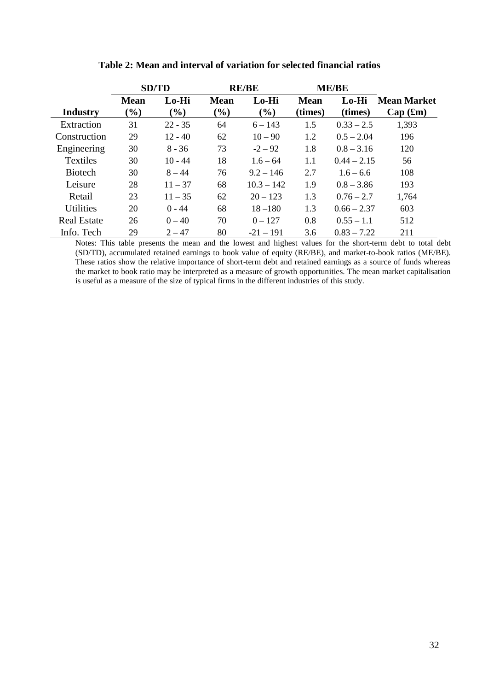|                    |                       | <b>SD/TD</b>    |                       | <b>RE/BE</b>    |                        | <b>ME/BE</b>     |                               |
|--------------------|-----------------------|-----------------|-----------------------|-----------------|------------------------|------------------|-------------------------------|
| <b>Industry</b>    | <b>Mean</b><br>$(\%)$ | Lo-Hi<br>$(\%)$ | <b>Mean</b><br>$(\%)$ | Lo-Hi<br>$(\%)$ | <b>Mean</b><br>(times) | Lo-Hi<br>(times) | <b>Mean Market</b><br>Cap(fm) |
| Extraction         | 31                    | $22 - 35$       | 64                    | $6 - 143$       | 1.5                    | $0.33 - 2.5$     | 1,393                         |
| Construction       | 29                    | $12 - 40$       | 62                    | $10 - 90$       | 1.2                    | $0.5 - 2.04$     | 196                           |
| Engineering        | 30                    | $8 - 36$        | 73                    | $-2 - 92$       | 1.8                    | $0.8 - 3.16$     | 120                           |
| <b>Textiles</b>    | 30                    | $10 - 44$       | 18                    | $1.6 - 64$      | 1.1                    | $0.44 - 2.15$    | 56                            |
| <b>Biotech</b>     | 30                    | $8 - 44$        | 76                    | $9.2 - 146$     | 2.7                    | $1.6 - 6.6$      | 108                           |
| Leisure            | 28                    | $11 - 37$       | 68                    | $10.3 - 142$    | 1.9                    | $0.8 - 3.86$     | 193                           |
| Retail             | 23                    | $11 - 35$       | 62                    | $20 - 123$      | 1.3                    | $0.76 - 2.7$     | 1,764                         |
| <b>Utilities</b>   | 20                    | $0 - 44$        | 68                    | $18 - 180$      | 1.3                    | $0.66 - 2.37$    | 603                           |
| <b>Real Estate</b> | 26                    | $0 - 40$        | 70                    | $0 - 127$       | 0.8                    | $0.55 - 1.1$     | 512                           |
| Info. Tech         | 29                    | $2 - 47$        | 80                    | $-21 - 191$     | 3.6                    | $0.83 - 7.22$    | 211                           |

# **Table 2: Mean and interval of variation for selected financial ratios**

Notes: This table presents the mean and the lowest and highest values for the short-term debt to total debt (SD/TD), accumulated retained earnings to book value of equity (RE/BE), and market-to-book ratios (ME/BE). These ratios show the relative importance of short-term debt and retained earnings as a source of funds whereas the market to book ratio may be interpreted as a measure of growth opportunities. The mean market capitalisation is useful as a measure of the size of typical firms in the different industries of this study.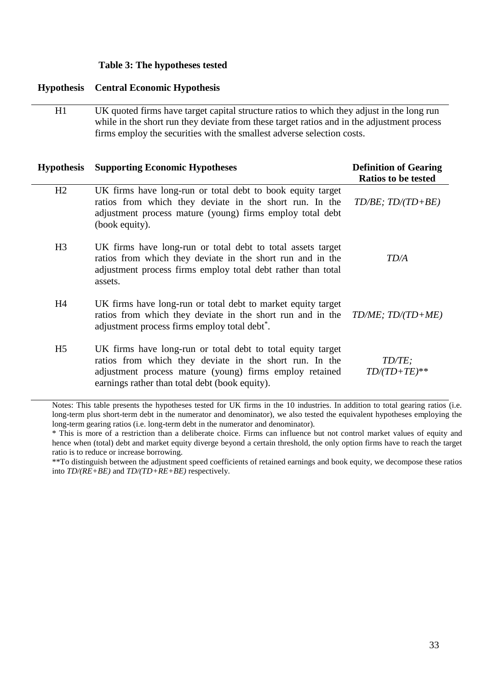## **Table 3: The hypotheses tested**

#### **Hypothesis Central Economic Hypothesis**

H1 UK quoted firms have target capital structure ratios to which they adjust in the long run while in the short run they deviate from these target ratios and in the adjustment process firms employ the securities with the smallest adverse selection costs.

| <b>Hypothesis</b> | <b>Supporting Economic Hypotheses</b>                                                                                                                                                                                               | <b>Definition of Gearing</b><br><b>Ratios to be tested</b> |
|-------------------|-------------------------------------------------------------------------------------------------------------------------------------------------------------------------------------------------------------------------------------|------------------------------------------------------------|
| H2                | UK firms have long-run or total debt to book equity target<br>ratios from which they deviate in the short run. In the<br>adjustment process mature (young) firms employ total debt<br>(book equity).                                | $TD/BE$ ; $TD/(TD+BE)$                                     |
| H <sub>3</sub>    | UK firms have long-run or total debt to total assets target<br>ratios from which they deviate in the short run and in the<br>adjustment process firms employ total debt rather than total<br>assets.                                | TD/A                                                       |
| H <sub>4</sub>    | UK firms have long-run or total debt to market equity target<br>ratios from which they deviate in the short run and in the<br>adjustment process firms employ total debt <sup>*</sup> .                                             | $TDME$ ; $TD / (TD + ME)$                                  |
| H <sub>5</sub>    | UK firms have long-run or total debt to total equity target<br>ratios from which they deviate in the short run. In the<br>adjustment process mature (young) firms employ retained<br>earnings rather than total debt (book equity). | TD/TE;<br>$TD/(TD+TE)$ **                                  |

Notes: This table presents the hypotheses tested for UK firms in the 10 industries. In addition to total gearing ratios (i.e. long-term plus short-term debt in the numerator and denominator), we also tested the equivalent hypotheses employing the long-term gearing ratios (i.e. long-term debt in the numerator and denominator).

\*\*To distinguish between the adjustment speed coefficients of retained earnings and book equity, we decompose these ratios into *TD/(RE+BE)* and *TD/(TD+RE+BE)* respectively.

<sup>\*</sup> This is more of a restriction than a deliberate choice. Firms can influence but not control market values of equity and hence when (total) debt and market equity diverge beyond a certain threshold, the only option firms have to reach the target ratio is to reduce or increase borrowing.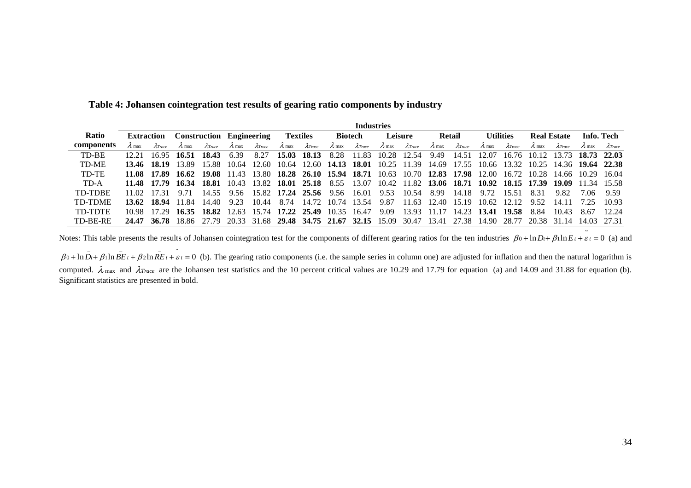|                | <b>Industries</b> |             |                                                                                           |                                 |               |                 |               |                                                       |               |                   |               |                  |                   |                 |               |                                                             |               |                 |                               |                 |
|----------------|-------------------|-------------|-------------------------------------------------------------------------------------------|---------------------------------|---------------|-----------------|---------------|-------------------------------------------------------|---------------|-------------------|---------------|------------------|-------------------|-----------------|---------------|-------------------------------------------------------------|---------------|-----------------|-------------------------------|-----------------|
| <b>Ratio</b>   | <b>Extraction</b> |             |                                                                                           | <b>Construction Engineering</b> |               | <b>Textiles</b> |               | <b>Biotech</b>                                        |               | <b>Leisure</b>    |               | Retail           |                   | Utilities       |               | <b>Real Estate</b>                                          |               | Info. Tech      |                               |                 |
| components     |                   | ATmce       | $\lambda$ max                                                                             | AT <sub>race</sub>              | $\lambda$ max | $\lambda$ Trace | $\lambda$ max | $\lambda$ Trace                                       | $\lambda$ max | $\lambda$ Trace   | $\lambda$ max | $\lambda$ Trace  | $\lambda$ max     | $\lambda$ Trace | $\lambda$ max | $\lambda$ Trace                                             | $\lambda$ max | $\lambda$ Trace |                               | $\lambda$ Trace |
| TD-BE          |                   |             | 16.95 16.51                                                                               | 18.43                           | 6.39          | 8.27            | 15.03         | 18.13                                                 | 8.28          | 11.83             |               | 10.28 12.54 9.49 |                   | 14.51           | 12.07         |                                                             |               |                 | 16.76 10.12 13.73 18.73 22.03 |                 |
| TD-ME          |                   |             | 13.46 18.19 13.89                                                                         | 15.88                           |               |                 |               | 10.64 12.60 10.64 12.60 14.13 18.01                   |               |                   |               |                  |                   |                 |               | 10.25 11.39 14.69 17.55 10.66 13.32 10.25 14.36 19.64 22.38 |               |                 |                               |                 |
| TD-TE          |                   |             | 11.08 17.89 16.62 19.08 11.43 13.80 18.28 26.10 15.94 18.71 10.63 10.70 12.83 17.98 12.00 |                                 |               |                 |               |                                                       |               |                   |               |                  |                   |                 |               | 16.72 10.28 14.66 10.29 16.04                               |               |                 |                               |                 |
| TD-A           |                   |             | 11.48 17.79 16.34 18.81 10.43 13.82 18.01 25.18 8.55 13.07                                |                                 |               |                 |               |                                                       |               |                   |               |                  |                   |                 |               | 10.42 11.82 13.06 18.71 10.92 18.15 17.39 19.09             |               |                 | 11.34 15.58                   |                 |
| TD-TDBE        |                   | 11 02 17 31 | 9.71                                                                                      | 14.55                           | 9.56          |                 |               | 15.82 17.24 25.56 9.56 16.01                          |               |                   | 9.53          | 10.54            | 8.99              | 14.18           | 9.72          | 15.51                                                       | 8.31          | 9.82            | 706                           | -9.59           |
| <b>TD-TDME</b> |                   | 13.62 18.94 | 11.84                                                                                     | 14.40                           | 9.23          | 10.44           | 8.74          |                                                       |               | 14.72 10.74 13.54 | 9.87          |                  | 11.63 12.40 15.19 |                 | - 10.62       | 12.12                                                       | 9.52          | -14.11          | 725                           | 10.93           |
| TD-TDTE        |                   |             | 10.98 17.29 16.35 18.82                                                                   |                                 |               |                 |               | 12.63 15.74 17.22 25.49 10.35 16.47                   |               |                   | 9.09          |                  | 13.93 11.17       |                 |               | 14.23 13.41 19.58                                           | 8.84          | 10.43           | 8.67                          | 12.24           |
| TD-BE-RE       |                   | 24.47 36.78 |                                                                                           | 18.86 27.79                     |               |                 |               | 20.33 31.68 29.48 34.75 21.67 32.15 15.09 30.47 13.41 |               |                   |               |                  |                   | 27.38           | 14.90         | 28.77                                                       |               | 20.38 31.14     | 14.03 27.31                   |                 |

**Table 4: Johansen cointegration test results of gearing ratio components by industry**

Notes: This table presents the results of Johansen cointegration test for the components of different gearing ratios for the ten industries  $\beta_0 + \ln \overline{D}_t + \beta_1 \ln \overline{E}_t + \overline{\epsilon}_t = 0$  (a) and

 $\beta_0 + \ln \overline{D}_t + \beta_1 \ln \overline{BE}_t + \beta_2 \ln \overline{RE}_t + \overline{\varepsilon}_t = 0$  (b). The gearing ratio components (i.e. the sample series in column one) are adjusted for inflation and then the natural logarithm is computed.  $\lambda_{\text{max}}$  and  $\lambda_{\text{Trace}}$  are the Johansen test statistics and the 10 percent critical values are 10.29 and 17.79 for equation (a) and 14.09 and 31.88 for equation (b). Significant statistics are presented in bold.